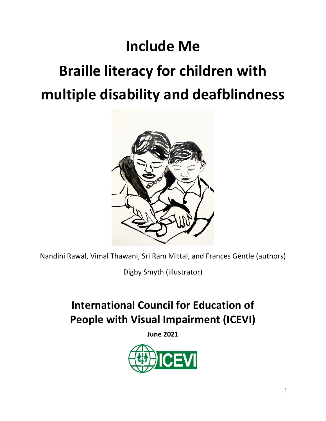# **Include Me**

# **Braille literacy for children with multiple disability and deafblindness**



Nandini Rawal, Vimal Thawani, Sri Ram Mittal, and Frances Gentle (authors)

Digby Smyth (illustrator)

# **International Council for Education of People with Visual Impairment (ICEVI)**

**June 2021**

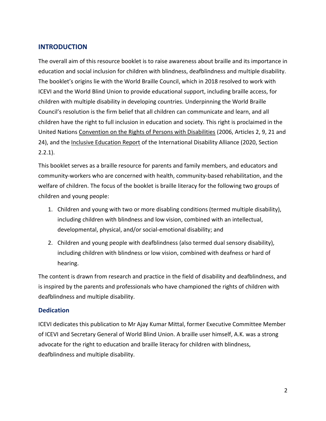#### **INTRODUCTION**

The overall aim of this resource booklet is to raise awareness about braille and its importance in education and social inclusion for children with blindness, deafblindness and multiple disability. The booklet's origins lie with the World Braille Council, which in 2018 resolved to work with ICEVI and the World Blind Union to provide educational support, including braille access, for children with multiple disability in developing countries. Underpinning the World Braille Council's resolution is the firm belief that all children can communicate and learn, and all children have the right to full inclusion in education and society. This right is proclaimed in the United Nations [Convention on the Rights of Persons with Disabilities](https://www.un.org/development/desa/disabilities/convention-on-the-rights-of-persons-with-disabilities.html) (2006, Articles 2, 9, 21 and 24), and the *[Inclusive Education Report](https://www.internationaldisabilityalliance.org/ida-inclusive-education-2020)* of the International Disability Alliance (2020, Section 2.2.1).

This booklet serves as a braille resource for parents and family members, and educators and community-workers who are concerned with health, community-based rehabilitation, and the welfare of children. The focus of the booklet is braille literacy for the following two groups of children and young people:

- 1. Children and young with two or more disabling conditions (termed multiple disability), including children with blindness and low vision, combined with an intellectual, developmental, physical, and/or social-emotional disability; and
- 2. Children and young people with deafblindness (also termed dual sensory disability), including children with blindness or low vision, combined with deafness or hard of hearing.

The content is drawn from research and practice in the field of disability and deafblindness, and is inspired by the parents and professionals who have championed the rights of children with deafblindness and multiple disability.

#### **Dedication**

ICEVI dedicates this publication to Mr Ajay Kumar Mittal, former Executive Committee Member of ICEVI and Secretary General of World Blind Union. A braille user himself, A.K. was a strong advocate for the right to education and braille literacy for children with blindness, deafblindness and multiple disability.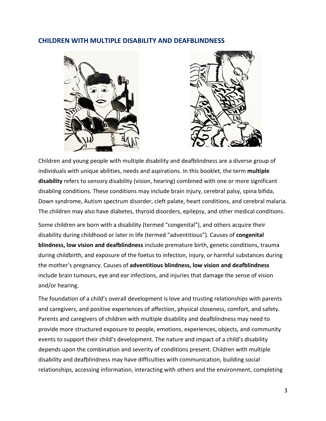#### **CHILDREN WITH MULTIPLE DISABILITY AND DEAFBLINDNESS**





Children and young people with multiple disability and deafblindness are a diverse group of individuals with unique abilities, needs and aspirations. In this booklet, the term **multiple disability** refers to sensory disability (vision, hearing) combined with one or more significant disabling conditions. These conditions may include brain injury, cerebral palsy, spina bifida, Down syndrome, Autism spectrum disorder, cleft palate, heart conditions, and cerebral malaria. The children may also have diabetes, thyroid disorders, epilepsy, and other medical conditions.

Some children are born with a disability (termed "congenital"), and others acquire their disability during childhood or later in life (termed "adventitious"). Causes of **congenital blindness, low vision and deafblindness** include premature birth, genetic conditions, trauma during childbirth, and exposure of the foetus to infection, injury, or harmful substances during the mother's pregnancy. Causes of **adventitious blindness, low vision and deafblindness** include brain tumours, eye and ear infections, and injuries that damage the sense of vision and/or hearing.

The foundation of a child's overall development is love and trusting relationships with parents and caregivers, and positive experiences of affection, physical closeness, comfort, and safety. Parents and caregivers of children with multiple disability and deafblindness may need to provide more structured exposure to people, emotions, experiences, objects, and community events to support their child's development. The nature and impact of a child's disability depends upon the combination and severity of conditions present. Children with multiple disability and deafblindness may have difficulties with communication, building social relationships, accessing information, interacting with others and the environment, completing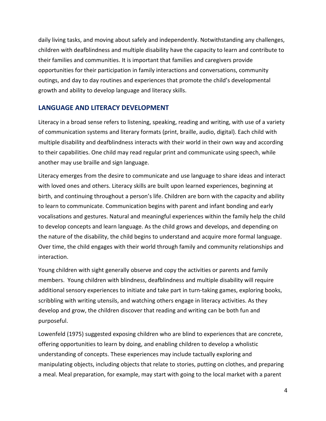daily living tasks, and moving about safely and independently. Notwithstanding any challenges, children with deafblindness and multiple disability have the capacity to learn and contribute to their families and communities. It is important that families and caregivers provide opportunities for their participation in family interactions and conversations, community outings, and day to day routines and experiences that promote the child's developmental growth and ability to develop language and literacy skills.

#### **LANGUAGE AND LITERACY DEVELOPMENT**

Literacy in a broad sense refers to listening, speaking, reading and writing, with use of a variety of communication systems and literary formats (print, braille, audio, digital). Each child with multiple disability and deafblindness interacts with their world in their own way and according to their capabilities. One child may read regular print and communicate using speech, while another may use braille and sign language.

Literacy emerges from the desire to communicate and use language to share ideas and interact with loved ones and others. Literacy skills are built upon learned experiences, beginning at birth, and continuing throughout a person's life. Children are born with the capacity and ability to learn to communicate. Communication begins with parent and infant bonding and early vocalisations and gestures. Natural and meaningful experiences within the family help the child to develop concepts and learn language. As the child grows and develops, and depending on the nature of the disability, the child begins to understand and acquire more formal language. Over time, the child engages with their world through family and community relationships and interaction.

Young children with sight generally observe and copy the activities or parents and family members. Young children with blindness, deafblindness and multiple disability will require additional sensory experiences to initiate and take part in turn-taking games, exploring books, scribbling with writing utensils, and watching others engage in literacy activities. As they develop and grow, the children discover that reading and writing can be both fun and purposeful.

Lowenfeld (1975) suggested exposing children who are blind to experiences that are concrete, offering opportunities to learn by doing, and enabling children to develop a wholistic understanding of concepts. These experiences may include tactually exploring and manipulating objects, including objects that relate to stories, putting on clothes, and preparing a meal. Meal preparation, for example, may start with going to the local market with a parent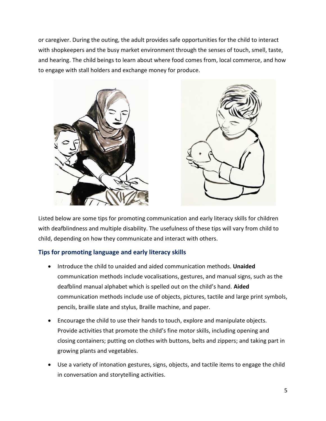or caregiver. During the outing, the adult provides safe opportunities for the child to interact with shopkeepers and the busy market environment through the senses of touch, smell, taste, and hearing. The child beings to learn about where food comes from, local commerce, and how to engage with stall holders and exchange money for produce.



Listed below are some tips for promoting communication and early literacy skills for children with deafblindness and multiple disability. The usefulness of these tips will vary from child to child, depending on how they communicate and interact with others.

#### **Tips for promoting language and early literacy skills**

- Introduce the child to unaided and aided communication methods. **Unaided** communication methods include vocalisations, gestures, and manual signs, such as the deafblind manual alphabet which is spelled out on the child's hand. **Aided** communication methods include use of objects, pictures, tactile and large print symbols, pencils, braille slate and stylus, Braille machine, and paper.
- Encourage the child to use their hands to touch, explore and manipulate objects. Provide activities that promote the child's fine motor skills, including opening and closing containers; putting on clothes with buttons, belts and zippers; and taking part in growing plants and vegetables.
- Use a variety of intonation gestures, signs, objects, and tactile items to engage the child in conversation and storytelling activities.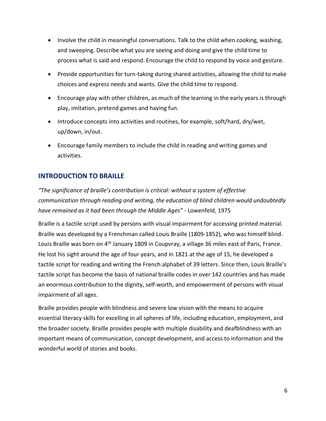- Involve the child in meaningful conversations. Talk to the child when cooking, washing, and sweeping. Describe what you are seeing and doing and give the child time to process what is said and respond. Encourage the child to respond by voice and gesture.
- Provide opportunities for turn-taking during shared activities, allowing the child to make choices and express needs and wants. Give the child time to respond.
- Encourage play with other children, as much of the learning in the early years is through play, imitation, pretend games and having fun.
- Introduce concepts into activities and routines, for example, soft/hard, dry/wet, up/down, in/out.
- Encourage family members to include the child in reading and writing games and activities.

# **INTRODUCTION TO BRAILLE**

*"The significance of braille's contribution is critical: without a system of effective communication through reading and writing, the education of blind children would undoubtedly have remained as it had been through the Middle Ages"* - Lowenfeld, 1975

Braille is a tactile script used by persons with visual impairment for accessing printed material. Braille was developed by a Frenchman called Louis Braille (1809-1852), who was himself blind. Louis Braille was born on 4<sup>th</sup> January 1809 in Coupvray, a village 36 miles east of Paris, France. He lost his sight around the age of four years, and in 1821 at the age of 15, he developed a tactile script for reading and writing the French alphabet of 39 letters. Since then, Louis Braille's tactile script has become the basis of national braille codes in over 142 countries and has made an enormous contribution to the dignity, self-worth, and empowerment of persons with visual impairment of all ages.

Braille provides people with blindness and severe low vision with the means to acquire essential literacy skills for excelling in all spheres of life, including education, employment, and the broader society. Braille provides people with multiple disability and deafblindness with an important means of communication, concept development, and access to information and the wonderful world of stories and books.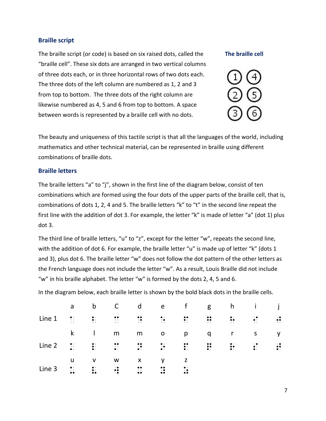#### **Braille script**

The braille script (or code) is based on six raised dots, called the "braille cell". These six dots are arranged in two vertical columns of three dots each, or in three horizontal rows of two dots each. The three dots of the left column are numbered as 1, 2 and 3 from top to bottom. The three dots of the right column are likewise numbered as 4, 5 and 6 from top to bottom. A space between words is represented by a braille cell with no dots.

#### **The braille cell**



The beauty and uniqueness of this tactile script is that all the languages of the world, including mathematics and other technical material, can be represented in braille using different combinations of braille dots.

#### **Braille letters**

The braille letters "a" to "j", shown in the first line of the diagram below, consist of ten combinations which are formed using the four dots of the upper parts of the braille cell, that is, combinations of dots 1, 2, 4 and 5. The braille letters "k" to "t" in the second line repeat the first line with the addition of dot 3. For example, the letter "k" is made of letter "a" (dot 1) plus dot 3.

The third line of braille letters, "u" to "z", except for the letter "w", repeats the second line, with the addition of dot 6. For example, the braille letter "u" is made up of letter "k" (dots 1 and 3), plus dot 6. The braille letter "w" does not follow the dot pattern of the other letters as the French language does not include the letter "w". As a result, Louis Braille did not include "w" in his braille alphabet. The letter "w" is formed by the dots 2, 4, 5 and 6.

In the diagram below, each braille letter is shown by the bold black dots in the braille cells.

|        | a                          | $\mathsf{b}$   | $\mathsf{C}$     | $\mathsf{d}$              | e f                                                                                                                                                                                                                                                                                                                                                                                          |                                                                                                                                                                                                                                 |                |                  | g h i                   |                |
|--------|----------------------------|----------------|------------------|---------------------------|----------------------------------------------------------------------------------------------------------------------------------------------------------------------------------------------------------------------------------------------------------------------------------------------------------------------------------------------------------------------------------------------|---------------------------------------------------------------------------------------------------------------------------------------------------------------------------------------------------------------------------------|----------------|------------------|-------------------------|----------------|
| Line 1 | $\frac{1}{2}$<br>$\ddotsc$ | $\frac{1}{2}$  | $\ddot{\cdot}$   |                           | $\frac{1}{2} \frac{1}{2} \frac{1}{2} \frac{1}{2} \frac{1}{2} \frac{1}{2} \frac{1}{2} \frac{1}{2} \frac{1}{2} \frac{1}{2} \frac{1}{2} \frac{1}{2} \frac{1}{2} \frac{1}{2} \frac{1}{2} \frac{1}{2} \frac{1}{2} \frac{1}{2} \frac{1}{2} \frac{1}{2} \frac{1}{2} \frac{1}{2} \frac{1}{2} \frac{1}{2} \frac{1}{2} \frac{1}{2} \frac{1}{2} \frac{1}{2} \frac{1}{2} \frac{1}{2} \frac{1}{2} \frac{$ | $\ddot{\cdot}$                                                                                                                                                                                                                  | $\ddot{\cdot}$ | $\ddot{\bullet}$ | $\ddot{\bullet}$ :      | $\ddot{\cdot}$ |
|        | $\mathsf k$                |                | m                | m                         | $\mathbf{o}$                                                                                                                                                                                                                                                                                                                                                                                 | p                                                                                                                                                                                                                               | q r            |                  | $\overline{\mathsf{S}}$ | $\mathsf{y}$   |
| Line 2 |                            |                |                  |                           |                                                                                                                                                                                                                                                                                                                                                                                              | الله عليه الله عليه الله عليه الله عليه الله عليه الله عليه الله عليه الله عليه الله عليه الله عليه الله عليه<br>- الله عليه الله عليه الله عليه الله عليه الله عليه الله عليه الله عليه الله عليه الله عليه الله عليه الله علي |                |                  |                         | $\ddot{\cdot}$ |
|        | u                          | $\mathsf{v}$   | W                | $\boldsymbol{\mathsf{x}}$ |                                                                                                                                                                                                                                                                                                                                                                                              | $\mathsf{Z}$                                                                                                                                                                                                                    |                |                  |                         |                |
| Line 3 | $\frac{1}{2}$              | $\ddot{\cdot}$ | $\ddot{\bullet}$ | $\frac{1}{2}$             | $\ddot{\cdot}$                                                                                                                                                                                                                                                                                                                                                                               | $\ddot{\cdot}$                                                                                                                                                                                                                  |                |                  |                         |                |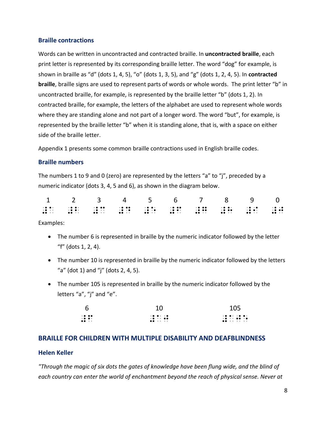#### **Braille contractions**

Words can be written in uncontracted and contracted braille. In **uncontracted braille**, each print letter is represented by its corresponding braille letter. The word "dog" for example, is shown in braille as "d" (dots 1, 4, 5), "o" (dots 1, 3, 5), and "g" (dots 1, 2, 4, 5). In **contracted braille**, braille signs are used to represent parts of words or whole words. The print letter "b" in uncontracted braille, for example, is represented by the braille letter "b" (dots 1, 2). In contracted braille, for example, the letters of the alphabet are used to represent whole words where they are standing alone and not part of a longer word. The word "but", for example, is represented by the braille letter "b" when it is standing alone, that is, with a space on either side of the braille letter.

Appendix 1 presents some common braille contractions used in English braille codes.

#### **Braille numbers**

The numbers 1 to 9 and 0 (zero) are represented by the letters "a" to "j", preceded by a numeric indicator (dots 3, 4, 5 and 6), as shown in the diagram below.

|                                                                                                            | 1 2 3 4 5 6 7 8 9 0                                                                                                                                                                                                                                                                                                                                                                                                                                                                                                                                                               |  |                                 |                                                                                                                                                                                                                                          |                                                                                   |                                 |
|------------------------------------------------------------------------------------------------------------|-----------------------------------------------------------------------------------------------------------------------------------------------------------------------------------------------------------------------------------------------------------------------------------------------------------------------------------------------------------------------------------------------------------------------------------------------------------------------------------------------------------------------------------------------------------------------------------|--|---------------------------------|------------------------------------------------------------------------------------------------------------------------------------------------------------------------------------------------------------------------------------------|-----------------------------------------------------------------------------------|---------------------------------|
| . The contract is a contract of the contract of $\mathbf{r}$<br>$\bullet\bullet\cdots\bullet\bullet\cdots$ | $\mathbf{r} \cdot \mathbf{r}$ and $\mathbf{r}$ are assumed to the contract of the contract of the contract of the contract of the contract of the contract of the contract of the contract of the contract of the contract of the contract of<br>. In the case of the contract of the contract of the contract of the contract of $\mathbf{r}$<br>. As a construction of the second second second and $\sim$ . The second second second second second second second second second second second second second second second second second second second second second second seco |  | $\cdot \bullet \bullet \bullet$ | . The contract of the contract of the contract of the contract of the contract of the contract of the contract of the contract of the contract of the contract of the contract of the contract of the contract of the contrac<br>$\cdot$ | $\cdot \bullet \bullet \cdot$<br>$\bullet\bullet\cdots\qquad\bullet\bullet\cdots$ | $\cdot \bullet \bullet \bullet$ |

Examples:

- The number 6 is represented in braille by the numeric indicator followed by the letter "f" (dots 1, 2, 4).
- The number 10 is represented in braille by the numeric indicator followed by the letters "a" (dot 1) and "j" (dots 2, 4, 5).
- The number 105 is represented in braille by the numeric indicator followed by the letters "a", "j" and "e".

| - 6                             | 10                                                | 105                                                                                                                                                                                                                                                                                                                                                                                                                                                                                                                                             |
|---------------------------------|---------------------------------------------------|-------------------------------------------------------------------------------------------------------------------------------------------------------------------------------------------------------------------------------------------------------------------------------------------------------------------------------------------------------------------------------------------------------------------------------------------------------------------------------------------------------------------------------------------------|
| $\cdot \bullet \bullet \bullet$ | $\cdot \bullet \bullet \cdot \cdot \cdot \bullet$ | $\mathbf{r} \bullet \mathbf{r} \bullet \mathbf{r} \rightarrow \mathbf{r} \bullet \mathbf{r} \bullet \mathbf{r} \bullet \mathbf{r} \bullet \mathbf{r} \bullet \mathbf{r} \bullet \mathbf{r} \bullet \mathbf{r} \bullet \mathbf{r} \bullet \mathbf{r} \bullet \mathbf{r} \bullet \mathbf{r} \bullet \mathbf{r} \bullet \mathbf{r} \bullet \mathbf{r} \bullet \mathbf{r} \bullet \mathbf{r} \bullet \mathbf{r} \bullet \mathbf{r} \bullet \mathbf{r} \bullet \mathbf{r} \bullet \mathbf{r} \bullet \mathbf{r} \bullet \mathbf{r} \bullet \mathbf{$ |
| $\cdot \bullet \bullet \cdot$   | $\cdot \bullet \cdot \cdot \bullet \bullet$       |                                                                                                                                                                                                                                                                                                                                                                                                                                                                                                                                                 |
| $\bullet\bullet\;\cdot\;\cdot$  | $\bullet\bullet\quad \cdot\quad\quad \cdot\quad$  | $\bullet\bullet\quad \cdot\quad \cdot\quad \cdot\quad \cdot\quad \cdot\quad \cdot$                                                                                                                                                                                                                                                                                                                                                                                                                                                              |

#### **BRAILLE FOR CHILDREN WITH MULTIPLE DISABILITY AND DEAFBLINDNESS**

#### **Helen Keller**

*"Through the magic of six dots the gates of knowledge have been flung wide, and the blind of each country can enter the world of enchantment beyond the reach of physical sense. Never at*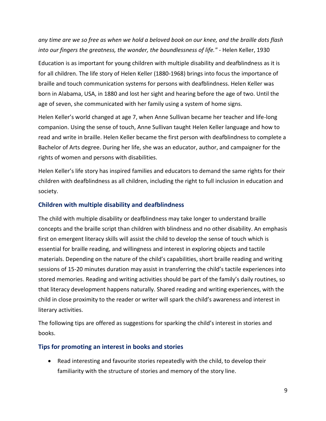*any time are we so free as when we hold a beloved book on our knee, and the braille dots flash into our fingers the greatness, the wonder, the boundlessness of life."* - Helen Keller, 1930

Education is as important for young children with multiple disability and deafblindness as it is for all children. The life story of Helen Keller (1880-1968) brings into focus the importance of braille and touch communication systems for persons with deafblindness. Helen Keller was born in Alabama, USA, in 1880 and lost her sight and hearing before the age of two. Until the age of seven, she communicated with her family using a system of home signs.

Helen Keller's world changed at age 7, when Anne Sullivan became her teacher and life-long companion. Using the sense of touch, Anne Sullivan taught Helen Keller language and how to read and write in braille. Helen Keller became the first person with deafblindness to complete a Bachelor of Arts degree. During her life, she was an educator, author, and campaigner for the rights of women and persons with disabilities.

Helen Keller's life story has inspired families and educators to demand the same rights for their children with deafblindness as all children, including the right to full inclusion in education and society.

#### **Children with multiple disability and deafblindness**

The child with multiple disability or deafblindness may take longer to understand braille concepts and the braille script than children with blindness and no other disability. An emphasis first on emergent literacy skills will assist the child to develop the sense of touch which is essential for braille reading, and willingness and interest in exploring objects and tactile materials. Depending on the nature of the child's capabilities, short braille reading and writing sessions of 15-20 minutes duration may assist in transferring the child's tactile experiences into stored memories. Reading and writing activities should be part of the family's daily routines, so that literacy development happens naturally. Shared reading and writing experiences, with the child in close proximity to the reader or writer will spark the child's awareness and interest in literary activities.

The following tips are offered as suggestions for sparking the child's interest in stories and books.

#### **Tips for promoting an interest in books and stories**

• Read interesting and favourite stories repeatedly with the child, to develop their familiarity with the structure of stories and memory of the story line.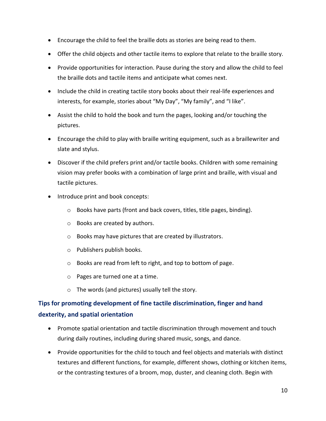- Encourage the child to feel the braille dots as stories are being read to them.
- Offer the child objects and other tactile items to explore that relate to the braille story.
- Provide opportunities for interaction. Pause during the story and allow the child to feel the braille dots and tactile items and anticipate what comes next.
- Include the child in creating tactile story books about their real-life experiences and interests, for example, stories about "My Day", "My family", and "I like".
- Assist the child to hold the book and turn the pages, looking and/or touching the pictures.
- Encourage the child to play with braille writing equipment, such as a braillewriter and slate and stylus.
- Discover if the child prefers print and/or tactile books. Children with some remaining vision may prefer books with a combination of large print and braille, with visual and tactile pictures.
- Introduce print and book concepts:
	- o Books have parts (front and back covers, titles, title pages, binding).
	- o Books are created by authors.
	- o Books may have pictures that are created by illustrators.
	- o Publishers publish books.
	- o Books are read from left to right, and top to bottom of page.
	- o Pages are turned one at a time.
	- o The words (and pictures) usually tell the story.

# **Tips for promoting development of fine tactile discrimination, finger and hand dexterity, and spatial orientation**

- Promote spatial orientation and tactile discrimination through movement and touch during daily routines, including during shared music, songs, and dance.
- Provide opportunities for the child to touch and feel objects and materials with distinct textures and different functions, for example, different shows, clothing or kitchen items, or the contrasting textures of a broom, mop, duster, and cleaning cloth. Begin with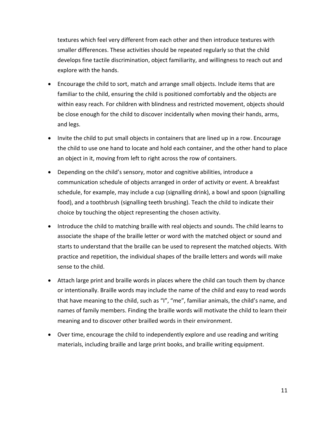textures which feel very different from each other and then introduce textures with smaller differences. These activities should be repeated regularly so that the child develops fine tactile discrimination, object familiarity, and willingness to reach out and explore with the hands.

- Encourage the child to sort, match and arrange small objects. Include items that are familiar to the child, ensuring the child is positioned comfortably and the objects are within easy reach. For children with blindness and restricted movement, objects should be close enough for the child to discover incidentally when moving their hands, arms, and legs.
- Invite the child to put small objects in containers that are lined up in a row. Encourage the child to use one hand to locate and hold each container, and the other hand to place an object in it, moving from left to right across the row of containers.
- Depending on the child's sensory, motor and cognitive abilities, introduce a communication schedule of objects arranged in order of activity or event. A breakfast schedule, for example, may include a cup (signalling drink), a bowl and spoon (signalling food), and a toothbrush (signalling teeth brushing). Teach the child to indicate their choice by touching the object representing the chosen activity.
- Introduce the child to matching braille with real objects and sounds. The child learns to associate the shape of the braille letter or word with the matched object or sound and starts to understand that the braille can be used to represent the matched objects. With practice and repetition, the individual shapes of the braille letters and words will make sense to the child.
- Attach large print and braille words in places where the child can touch them by chance or intentionally. Braille words may include the name of the child and easy to read words that have meaning to the child, such as "I", "me", familiar animals, the child's name, and names of family members. Finding the braille words will motivate the child to learn their meaning and to discover other brailled words in their environment.
- Over time, encourage the child to independently explore and use reading and writing materials, including braille and large print books, and braille writing equipment.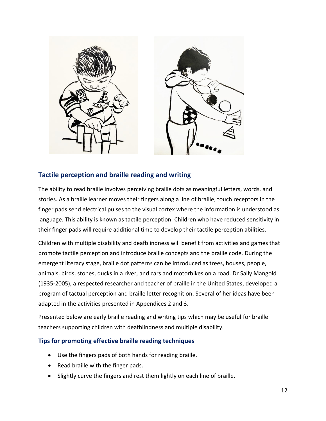

# **Tactile perception and braille reading and writing**

The ability to read braille involves perceiving braille dots as meaningful letters, words, and stories. As a braille learner moves their fingers along a line of braille, touch receptors in the finger pads send electrical pulses to the visual cortex where the information is understood as language. This ability is known as tactile perception. Children who have reduced sensitivity in their finger pads will require additional time to develop their tactile perception abilities.

Children with multiple disability and deafblindness will benefit from activities and games that promote tactile perception and introduce braille concepts and the braille code. During the emergent literacy stage, braille dot patterns can be introduced as trees, houses, people, animals, birds, stones, ducks in a river, and cars and motorbikes on a road. Dr Sally Mangold (1935-2005), a respected researcher and teacher of braille in the United States, developed a program of tactual perception and braille letter recognition. Several of her ideas have been adapted in the activities presented in Appendices 2 and 3.

Presented below are early braille reading and writing tips which may be useful for braille teachers supporting children with deafblindness and multiple disability.

#### **Tips for promoting effective braille reading techniques**

- Use the fingers pads of both hands for reading braille.
- Read braille with the finger pads.
- Slightly curve the fingers and rest them lightly on each line of braille.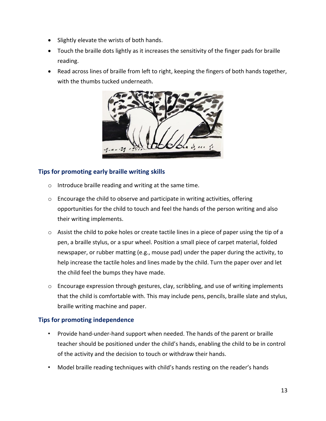- Slightly elevate the wrists of both hands.
- Touch the braille dots lightly as it increases the sensitivity of the finger pads for braille reading.
- Read across lines of braille from left to right, keeping the fingers of both hands together, with the thumbs tucked underneath.



#### **Tips for promoting early braille writing skills**

- o Introduce braille reading and writing at the same time.
- o Encourage the child to observe and participate in writing activities, offering opportunities for the child to touch and feel the hands of the person writing and also their writing implements.
- $\circ$  Assist the child to poke holes or create tactile lines in a piece of paper using the tip of a pen, a braille stylus, or a spur wheel. Position a small piece of carpet material, folded newspaper, or rubber matting (e.g., mouse pad) under the paper during the activity, to help increase the tactile holes and lines made by the child. Turn the paper over and let the child feel the bumps they have made.
- o Encourage expression through gestures, clay, scribbling, and use of writing implements that the child is comfortable with. This may include pens, pencils, braille slate and stylus, braille writing machine and paper.

#### **Tips for promoting independence**

- Provide hand-under-hand support when needed. The hands of the parent or braille teacher should be positioned under the child's hands, enabling the child to be in control of the activity and the decision to touch or withdraw their hands.
- Model braille reading techniques with child's hands resting on the reader's hands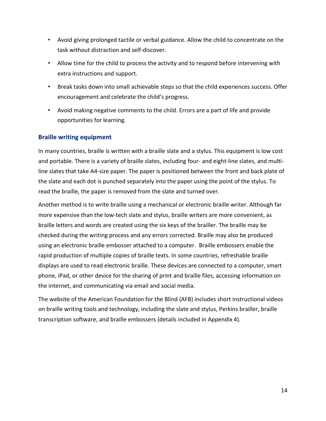- Avoid giving prolonged tactile or verbal guidance. Allow the child to concentrate on the task without distraction and self-discover.
- Allow time for the child to process the activity and to respond before intervening with extra instructions and support.
- Break tasks down into small achievable steps so that the child experiences success. Offer encouragement and celebrate the child's progress.
- Avoid making negative comments to the child. Errors are a part of life and provide opportunities for learning.

#### **Braille writing equipment**

In many countries, braille is written with a braille slate and a stylus. This equipment is low cost and portable. There is a variety of braille slates, including four- and eight-line slates, and multiline slates that take A4-size paper. The paper is positioned between the front and back plate of the slate and each dot is punched separately into the paper using the point of the stylus. To read the braille, the paper is removed from the slate and turned over.

Another method is to write braille using a mechanical or electronic braille writer. Although far more expensive than the low-tech slate and stylus, braille writers are more convenient, as braille letters and words are created using the six keys of the brailler. The braille may be checked during the writing process and any errors corrected. Braille may also be produced using an electronic braille embosser attached to a computer. Braille embossers enable the rapid production of multiple copies of braille texts. In some countries, refreshable braille displays are used to read electronic braille. These devices are connected to a computer, smart phone, iPad, or other device for the sharing of print and braille files, accessing information on the internet, and communicating via email and social media.

The website of the American Foundation for the Blind (AFB) includes short instructional videos on braille writing tools and technology, including the slate and stylus, Perkins brailler, braille transcription software, and braille embossers (details included in Appendix 4).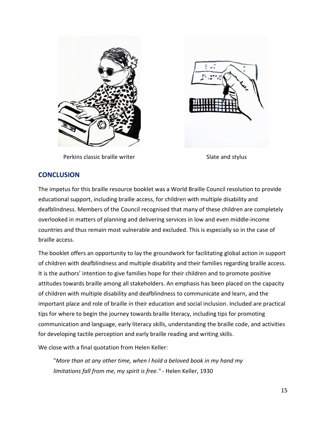



Perkins classic braille writer Slate and stylus

#### **CONCLUSION**

The impetus for this braille resource booklet was a World Braille Council resolution to provide educational support, including braille access, for children with multiple disability and deafblindness. Members of the Council recognised that many of these children are completely overlooked in matters of planning and delivering services in low and even middle-income countries and thus remain most vulnerable and excluded. This is especially so in the case of braille access.

The booklet offers an opportunity to lay the groundwork for facilitating global action in support of children with deafblindness and multiple disability and their families regarding braille access. It is the authors' intention to give families hope for their children and to promote positive attitudes towards braille among all stakeholders. An emphasis has been placed on the capacity of children with multiple disability and deafblindness to communicate and learn, and the important place and role of braille in their education and social inclusion. Included are practical tips for where to begin the journey towards braille literacy, including tips for promoting communication and language, early literacy skills, understanding the braille code, and activities for developing tactile perception and early braille reading and writing skills.

We close with a final quotation from Helen Keller:

"*More than at any other time, when I hold a beloved book in my hand my limitations fall from me, my spirit is free."* - Helen Keller, 1930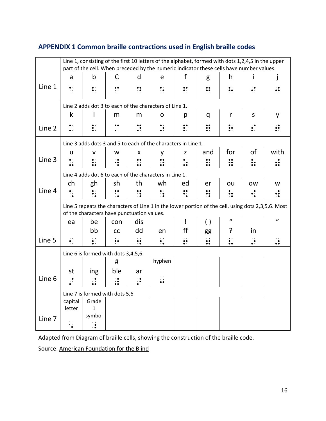# **APPENDIX 1 Common braille contractions used in English braille codes**

|        | Line 1, consisting of the first 10 letters of the alphabet, formed with dots 1,2,4,5 in the upper<br>part of the cell. When preceded by the numeric indicator these cells have number values. |                                     |                |                |                    |                |                       |                    |                    |                     |  |  |  |
|--------|-----------------------------------------------------------------------------------------------------------------------------------------------------------------------------------------------|-------------------------------------|----------------|----------------|--------------------|----------------|-----------------------|--------------------|--------------------|---------------------|--|--|--|
|        | a                                                                                                                                                                                             | $\mathsf b$                         | C              | d              | e                  | f              | g                     | h                  |                    | j                   |  |  |  |
| Line 1 | $\ddot{\cdot}$                                                                                                                                                                                | $\ddot{\bullet}$ :                  |                | ∷              | $\ddot{\cdot}$     | $\ddot{\cdot}$ | $\ddot{\cdot}$        | $\ddot{\cdot}$     | $\ddot{\bullet}$ : | $\ddot{\cdot}$      |  |  |  |
|        | Line 2 adds dot 3 to each of the characters of Line 1.                                                                                                                                        |                                     |                |                |                    |                |                       |                    |                    |                     |  |  |  |
|        | k                                                                                                                                                                                             |                                     | m              | m              | O                  | р              | q                     | r                  | S                  | у                   |  |  |  |
| Line 2 | $\ddot{\cdot}$                                                                                                                                                                                | $\ddot{\cdot}$                      |                |                | $\ddot{\cdot}$     | $\ddot{\cdot}$ |                       | $\ddot{\cdot}$     | $\vdots$           |                     |  |  |  |
|        | Line 3 adds dots 3 and 5 to each of the characters in Line 1.                                                                                                                                 |                                     |                |                |                    |                |                       |                    |                    |                     |  |  |  |
|        | u                                                                                                                                                                                             | v                                   | w              | X              | у                  | Z              | and                   | for                | of                 | with                |  |  |  |
| Line 3 | $\ddot{\cdot}$                                                                                                                                                                                | $\ddot{\phantom{a}}$ :              | ∺              | $\ddot{\cdot}$ | $\ddot{\cdot}$     | $\ddot{\cdot}$ | $\ddot{\ddot{\cdot}}$ | $\mathbf{ii}$      | $\vdots$           | $\ddot{\bm{v}}$     |  |  |  |
|        | Line 4 adds dot 6 to each of the characters in Line 1.                                                                                                                                        |                                     |                |                |                    |                |                       |                    |                    |                     |  |  |  |
|        | ch                                                                                                                                                                                            | gh                                  | sh             | th             | wh                 | ed             | er                    | ou                 | <b>OW</b>          | w                   |  |  |  |
| Line 4 | $\ddot{\cdot}$ :                                                                                                                                                                              |                                     | $\ddot{\cdot}$ |                | $\ddot{\cdot}$     | $\ddot{\cdot}$ |                       | $\ddot{\cdot}$     |                    | $\ddot{\cdot}$      |  |  |  |
|        | Line 5 repeats the characters of Line 1 in the lower portion of the cell, using dots 2,3,5,6. Most<br>of the characters have punctuation values.                                              |                                     |                |                |                    |                |                       |                    |                    |                     |  |  |  |
|        | ea                                                                                                                                                                                            | be                                  | con            | dis            |                    | Ţ              | $\left( \ \right)$    | $\mathbf{u}$       |                    | $\boldsymbol{\eta}$ |  |  |  |
|        |                                                                                                                                                                                               | bb                                  | cc             | dd             | en                 | ff             | gg                    | ?                  | in                 |                     |  |  |  |
| Line 5 | $\ddot{\cdot}$                                                                                                                                                                                |                                     |                | •:             | $\ddot{\bullet}$ : | $\ddot{\cdot}$ | $\ddot{\bullet}$      | $\ddot{\bullet}$ . | $\ddot{\cdot}$     | $\ddot{\bullet}$    |  |  |  |
|        |                                                                                                                                                                                               | Line 6 is formed with dots 3,4,5,6. |                |                |                    |                |                       |                    |                    |                     |  |  |  |
|        |                                                                                                                                                                                               |                                     | #              |                | hyphen             |                |                       |                    |                    |                     |  |  |  |
|        | st                                                                                                                                                                                            | ing                                 | ble            | ar             |                    |                |                       |                    |                    |                     |  |  |  |
| Line 6 | $\ddot{\cdot}$                                                                                                                                                                                | $\ddot{\cdot}$                      | $\ddot{\cdot}$ | $\ddot{\cdot}$ | $\ddot{\cdot}$     |                |                       |                    |                    |                     |  |  |  |
|        |                                                                                                                                                                                               | Line 7 is formed with dots 5,6      |                |                |                    |                |                       |                    |                    |                     |  |  |  |
|        | capital                                                                                                                                                                                       | Grade                               |                |                |                    |                |                       |                    |                    |                     |  |  |  |
|        | letter                                                                                                                                                                                        | $\mathbf{1}$<br>symbol              |                |                |                    |                |                       |                    |                    |                     |  |  |  |
| Line 7 |                                                                                                                                                                                               | ∺                                   |                |                |                    |                |                       |                    |                    |                     |  |  |  |

Adapted from Diagram of braille cells, showing the construction of the braille code.

Source: [American Foundation for the Blind](https://www.afb.org/online-library/unseen-minority-0/chapter-8)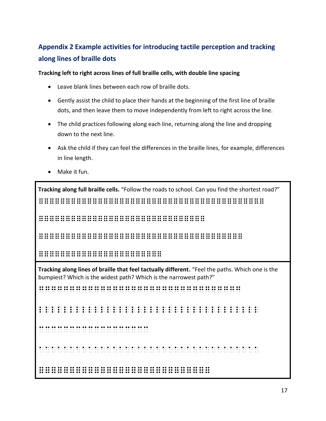# **Appendix 2 Example activities for introducing tactile perception and tracking along lines of braille dots**

**Tracking left to right across lines of full braille cells, with double line spacing**

- Leave blank lines between each row of braille dots.
- Gently assist the child to place their hands at the beginning of the first line of braille dots, and then leave them to move independently from left to right across the line.
- The child practices following along each line, returning along the line and dropping down to the next line.
- Ask the child if they can feel the differences in the braille lines, for example, differences in line length.
- Make it fun.

**Tracking along full braille cells.** "Follow the roads to school. Can you find the shortest road?" ==========================================

===============================

======================================

=======================

**Tracking along lines of braille that feel tactually different.** "Feel the paths. Which one is the bumpiest? Which is the widest path? Which is the narrowest path?" Ggggggggggggggggggggggggggggggggg Llllllllllllllllllllllllllllllllllll Cccccccccccccccccc Aaaaaaaaaaaaaaaaaaaaaaaaaaaaaaaaaaaa ============================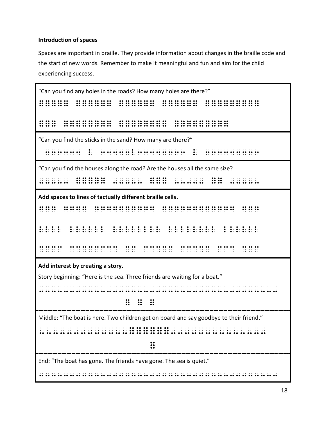# **Introduction of spaces**

Spaces are important in braille. They provide information about changes in the braille code and the start of new words. Remember to make it meaningful and fun and aim for the child experiencing success.

| "Can you find any holes in the roads? How many holes are there?"                                                                                                                                                                      |  |  |  |  |  |  |  |  |  |  |
|---------------------------------------------------------------------------------------------------------------------------------------------------------------------------------------------------------------------------------------|--|--|--|--|--|--|--|--|--|--|
|                                                                                                                                                                                                                                       |  |  |  |  |  |  |  |  |  |  |
|                                                                                                                                                                                                                                       |  |  |  |  |  |  |  |  |  |  |
| "Can you find the sticks in the sand? How many are there?"<br>$\frac{1}{2}$ $\frac{1}{2}$ $\frac{1}{2}$ $\frac{1}{2}$ $\frac{1}{2}$ $\frac{1}{2}$ $\frac{1}{2}$ $\frac{1}{2}$ $\frac{1}{2}$ $\frac{1}{2}$ $\frac{1}{2}$ $\frac{1}{2}$ |  |  |  |  |  |  |  |  |  |  |
| "Can you find the houses along the road? Are the houses all the same size?                                                                                                                                                            |  |  |  |  |  |  |  |  |  |  |
| Add spaces to lines of tactually different braille cells.                                                                                                                                                                             |  |  |  |  |  |  |  |  |  |  |
| $\frac{1}{2}$<br>.                                                                                                                                                                                                                    |  |  |  |  |  |  |  |  |  |  |
| ide de de la ciuda de de de de la ciuda de de de de de la ciuda de de de de de de la ciuda de de de de de de<br>la ciuda de la la ciuda de de la la ciuda de de de de de la la ciuda de de de de de de de de de de de de de<br>la ci  |  |  |  |  |  |  |  |  |  |  |
| Add interest by creating a story.                                                                                                                                                                                                     |  |  |  |  |  |  |  |  |  |  |
| Story beginning: "Here is the sea. Three friends are waiting for a boat."                                                                                                                                                             |  |  |  |  |  |  |  |  |  |  |
| $\begin{array}{cc} \cdots & \cdots & \cdots \ \cdots & \cdots & \cdots \end{array}$                                                                                                                                                   |  |  |  |  |  |  |  |  |  |  |
| Middle: "The boat is here. Two children get on board and say goodbye to their friend."                                                                                                                                                |  |  |  |  |  |  |  |  |  |  |
|                                                                                                                                                                                                                                       |  |  |  |  |  |  |  |  |  |  |
| $\mathbf{ii}$                                                                                                                                                                                                                         |  |  |  |  |  |  |  |  |  |  |
| End: "The boat has gone. The friends have gone. The sea is quiet."                                                                                                                                                                    |  |  |  |  |  |  |  |  |  |  |
|                                                                                                                                                                                                                                       |  |  |  |  |  |  |  |  |  |  |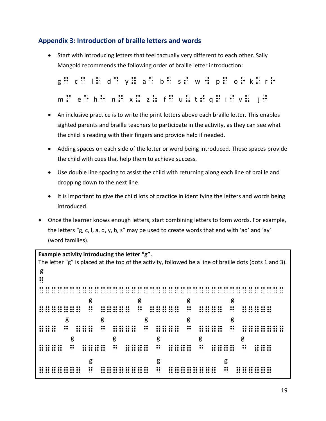# **Appendix 3: Introduction of braille letters and words**

• Start with introducing letters that feel tactually very different to each other. Sally Mangold recommends the following order of braille letter introduction:

|  |  |  |  |                                         |  | g: c: l: d: y: a: b: s: w: p: o: k: r: |
|--|--|--|--|-----------------------------------------|--|----------------------------------------|
|  |  |  |  | m: e:hH n: x: z: f: u: t: q: i : v: j : |  |                                        |

- An inclusive practice is to write the print letters above each braille letter. This enables sighted parents and braille teachers to participate in the activity, as they can see what the child is reading with their fingers and provide help if needed.
- Adding spaces on each side of the letter or word being introduced. These spaces provide the child with cues that help them to achieve success.
- Use double line spacing to assist the child with returning along each line of braille and dropping down to the next line.
- It is important to give the child lots of practice in identifying the letters and words being introduced.
- Once the learner knows enough letters, start combining letters to form words. For example, the letters "g, c, l, a, d, y, b, s" may be used to create words that end with 'ad' and 'ay' (word families).

```
Example activity introducing the letter "g".
The letter "g" is placed at the top of the activity, followed be a line of braille dots (dots 1 and 3).
g
\ddot{\phantom{a}}CCCCCCCCCCCCCCCCCCCCCCCCCCCCCCCCCCCCCCCC
\begin{array}{ccccccc} & & & & & & & \mathsf{g} & & & \mathsf{g} & & & \mathsf{g} & & \mathsf{g} & & \mathsf{g} & & \mathsf{g} & & \mathsf{g} & & \mathsf{g} & & \mathsf{g} & & \mathsf{g} & & \mathsf{g} & & \mathsf{g} & & \mathsf{g} & & \mathsf{g} & & \mathsf{g} & & \mathsf{g} & & \mathsf{g} & & \mathsf{g} & & \mathsf{g} & & \mathsf{g} & & \mathsf{g} & & \mathsf{g} & & \mathsf{g} & & \mathsf{g} & & \mathsf{g} & & \mathsf======= g ===== g ===== g ==== g ===== 
g g g g g g
=== g === g ==== g ==== g ==== g ======= 
g g g g g g
==== g ==== g ==== g ==== g ==== g ===
 g g g 
======= g ======== g ======== g ======
```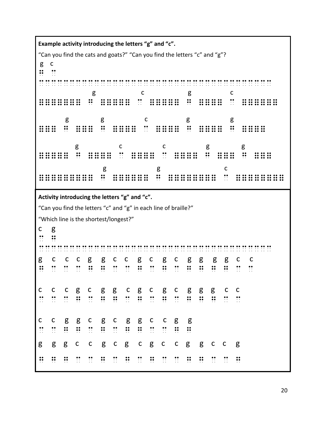**Example activity introducing the letters "g" and "c".**  "Can you find the cats and goats?" "Can you find the letters "c" and "g"? g c  $\mathbf{u}$   $\mathbf{v}$ CCCCCCCCCCCCCCCCCCCCCCCCCCCCCCCCCCCCCC  $\begin{array}{ccc} \text{g} & \text{c} & \text{g} & \text{c} \end{array}$ ======= g ===== c ===== g ==== c ====== g g c g g === g === g ==== c ==== g ==== g ==== g c c g g ===== g ==== c ==== c ==== g === g === g g c  $=$ **Activity introducing the letters "g" and "c".**  "Can you find the letters "c" and "g" in each line of braille?" "Which line is the shortest/longest?" c g  $\mathbb{C}$   $\mathbb{C}$ CCCCCCCCCCCCCCCCCCCCCCCCCCCCCCCCCCCCCC g c c c g g c c g c g c g g g g c c G c c c g g c c g c g c g g g g c c c c c g c g g c g c g c g g g c c C c c g c g g c g c g c g g g c c c c g g c g c g g c c g g C C C C C C C C G G C C C C C C C g g g c c g c g c g c c g g c c g G G G G G G G G C G G C G G G G C G G C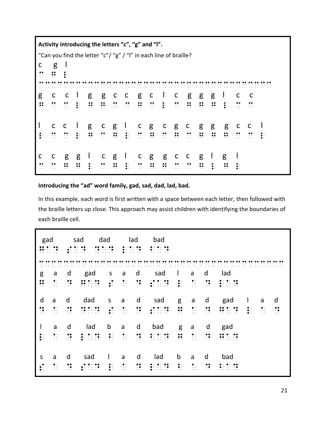|   | Activity introducing the letters "c", "g" and "l".               |                         |                  |              |                  |                |                                                                                     |                |                |                |                     |                         |                |                |                |                |                |           |
|---|------------------------------------------------------------------|-------------------------|------------------|--------------|------------------|----------------|-------------------------------------------------------------------------------------|----------------|----------------|----------------|---------------------|-------------------------|----------------|----------------|----------------|----------------|----------------|-----------|
|   | "Can you find the letter "c"/ "g" / "l" in each line of braille? |                         |                  |              |                  |                |                                                                                     |                |                |                |                     |                         |                |                |                |                |                |           |
| C | g                                                                |                         |                  |              |                  |                |                                                                                     |                |                |                |                     |                         |                |                |                |                |                |           |
|   |                                                                  |                         |                  |              |                  |                |                                                                                     |                |                |                |                     |                         |                |                |                |                |                |           |
|   |                                                                  |                         |                  |              |                  |                |                                                                                     |                |                |                |                     |                         |                |                |                |                |                |           |
| g | $\mathsf{C}$                                                     | $\overline{\mathbf{C}}$ |                  | g            | g                | $\mathsf{C}$   | $\mathsf{C}$                                                                        | g              | $\mathsf{C}$   | $\mathbf{L}$   | $\mathsf{C}$        | g                       | g              | g              |                | C              | C              |           |
|   | $\dddot{\phantom{0}}$                                            | $\mathbb{R}$            |                  | ∺            | $\bullet\bullet$ |                | $\frac{1}{2}$ $\frac{1}{2}$ $\frac{1}{2}$ $\frac{1}{2}$ $\frac{1}{2}$ $\frac{1}{2}$ |                | $\ddot{\cdot}$ | $\frac{1}{2}$  | $\ddot{\cdot}$      | ∺                       | ∺              | ∺              | $\bullet$ .    | $\sim$ $\sim$  | $\cdot$ .      |           |
|   |                                                                  |                         |                  |              |                  |                |                                                                                     |                |                |                |                     |                         |                |                |                |                |                |           |
|   | $\mathsf{C}$                                                     | $\mathbf{C}$            | $\Box$           | g            | $\mathsf{C}$     | $g \perp$      |                                                                                     | $\mathsf{C}$   | g              | $\mathsf{C}$   | g c                 |                         | g              | g              | g              | $\mathsf{C}$   | - C            |           |
|   | $\ddot{\cdot}$                                                   | $\mathbb{R}$            |                  | ∺            | $\ddot{\cdot}$   | $\mathbf{H}$   |                                                                                     | $\ddot{\cdot}$ | $\ddot{\cdot}$ | $\mathbb{R}$   | $\ddot{\mathbf{u}}$ | $\frac{1}{2}$           | $\ddot{\cdot}$ | $\ddot{\cdot}$ | $\ddot{\cdot}$ | $\ddot{\cdot}$ | $\ddot{\cdot}$ | $\bullet$ |
|   |                                                                  |                         |                  |              |                  |                |                                                                                     |                |                |                |                     |                         |                |                |                |                |                |           |
| C | C                                                                | g                       | g                | $\mathbf{I}$ | $\mathsf{C}$     |                | $g \perp c g$                                                                       |                |                | g              | $\mathsf{C}$        | $\overline{C}$          | g              | $\mathbf{I}$   | g              |                |                |           |
|   |                                                                  |                         | $\bullet\bullet$ |              | $\ddot{\cdot}$   | $\ddot{\cdot}$ |                                                                                     | $\ddot{\cdot}$ | ።              | $\ddot{\cdot}$ | $\cdot$ .           | $\dddot{\phantom{0}}$ : | ።              |                |                |                |                |           |

# **Introducing the "ad" word family, gad, sad, dad, lad, bad.**

In this example, each word is first written with a space between each letter, then followed with the braille letters up close. This approach may assist children with identifying the boundaries of each braille cell.

|                                                                                           | gad<br>$\cdot\bullet$<br>$\cdots$<br>$\ddotsc$           |                                                              | dad<br>sad<br>$\cdot\bullet$<br>$\cdot \bullet$<br>$\cdot$ $\cdot$<br>$\ddotsc$<br>$\cdot$ .<br>$\cdots$<br>$\bullet$ .<br>$\cdot$ $\cdot$<br>$\cdot$ $\cdot$ |                                                                                | lad<br>$\bullet\bullet$<br>$\bullet$ .<br>$\cdots$<br>$\bullet \cdot \cdot \cdot \cdot \cdot \cdot$ |                                                                               | bad<br>$\bullet\cdot\cdot\cdot\cdot\bullet$<br>.                       |                                                                   |                                                                      |                                                                        |                                                                                                                               |                                 |                             |                                                 |
|-------------------------------------------------------------------------------------------|----------------------------------------------------------|--------------------------------------------------------------|---------------------------------------------------------------------------------------------------------------------------------------------------------------|--------------------------------------------------------------------------------|-----------------------------------------------------------------------------------------------------|-------------------------------------------------------------------------------|------------------------------------------------------------------------|-------------------------------------------------------------------|----------------------------------------------------------------------|------------------------------------------------------------------------|-------------------------------------------------------------------------------------------------------------------------------|---------------------------------|-----------------------------|-------------------------------------------------|
| $\ddot{\phantom{1}}$<br>g<br>$\bullet\bullet$<br>$\bullet\bullet$<br>$\ddot{\phantom{0}}$ | a<br>$\bullet$ .<br>$\ddotsc$<br>$\ddot{\phantom{0}}$    | $\cdot$ .<br>d<br>$\bullet\bullet$<br>$\cdot$ .<br>$\ddotsc$ | .<br>$\cdot$ $\cdot$<br>gad<br>$\cdot$ .<br>$\cdot$ $\cdot$<br>$\bullet$ $\bullet$                                                                            | $\cdot$ .<br>$\cdot$ .<br>S<br>$\cdot$ $\bullet$<br>$\bullet$ .<br>$\bullet$ . | .<br>a<br>$\bullet$ .<br>$\ddotsc$<br>$\ddot{\phantom{0}}$                                          | $\cdots$<br>$\cdot$ .<br>d<br>$\bullet\bullet$<br>$\cdot\bullet$<br>$\cdot$ . | .<br>$\cdot$ .<br>sad<br>$\cdots$ . $\bullet$<br>$\cdot$ .             | $\cdots$<br>$\bullet$ .<br>$\bullet$ .                            | $\cdot$ .<br>a<br>$\bullet$ .<br>$\bullet$ .<br>$\ddot{\phantom{0}}$ | $\cdot$ .<br>.<br>d<br>$\bullet\bullet$<br>$\cdot\bullet$<br>$\ddotsc$ | $\cdots$<br>$\cdot$ $\cdot$<br>lad<br>$\bullet\bullet$<br>$\cdots$ . $\bullet$<br>$\bullet$ .<br>$\cdot$ $\cdot$<br>$\cdot$ . |                                 |                             |                                                 |
| d<br>$\ddot{\phantom{0}}$                                                                 | a<br>$\ddotsc$<br>$\ddotsc$                              | d<br>$\bullet\bullet$<br>$\cdot$ .<br>$\ddotsc$              | dad<br>$\cdot$ .<br>$\cdots$<br>.                                                                                                                             | $\sf S$<br>$\bullet$ .<br>$\bullet$ .                                          | a<br>$\bullet\cdot$<br>$\ddotsc$<br>$\ddot{\phantom{0}}$                                            | d<br><br>$\cdot\bullet$<br>$\ddot{\phantom{0}}$                               | sad<br>$\bullet\cdot\;\;\cdot\;\;\cdot\;\;\cdot\;\bullet$<br>$\bullet$ | g<br>$\bullet\bullet$<br>$\bullet\bullet$<br>$\ddot{\phantom{0}}$ | a<br>$\bullet$ .<br>$\bullet$ $\bullet$<br>$\ddotsc$                 | d<br>$\bullet\bullet$<br>$\cdot$ $\bullet$<br>$\ddotsc$                | gad<br><br>$\cdot$ .<br>$\cdot$ .<br>$\cdot$ .<br>$\cdot$ .<br>$\ddotsc$                                                      | L<br>$\bullet$ .<br>$\bullet$ . | a<br>$\ddotsc$<br>$\ddotsc$ | d<br>$\bullet\bullet$<br>$\cdot$ .<br>$\ddotsc$ |
| $\overline{\phantom{a}}$<br>$\bullet$ .                                                   | a<br>. .<br>$\ddot{\phantom{0}}$<br>$\ddot{\phantom{0}}$ | d<br>$\cdot$ .<br>$\ddotsc$                                  | lad<br>$\cdot$ .<br>$\bullet$ .<br>$\ddotsc$                                                                                                                  | b<br>$\bullet$ .<br>$\bullet$ .<br>$\ddotsc$                                   | a<br>$\bullet$ .<br>$\cdot$ .<br>$\ddot{\phantom{0}}$                                               | d<br><br>$\cdot$ $\bullet$<br>$\ddot{\phantom{0}}$                            | bad<br>$\cdots$<br>$\cdot$ .                                           | g<br><br>$\bullet\bullet$<br>$\ddot{\phantom{0}}$                 | a<br>$\bullet$ .<br>$\cdot$ .<br>$\ddotsc$                           | d<br>$\bullet\bullet$<br>$\cdot$ $\bullet$<br>$\cdot$ .                | gad<br>$\cdots$ . $\bullet$<br>$\cdots\qquad \cdots\qquad \qquad \cdots\qquad \qquad$                                         |                                 |                             |                                                 |
| $\sf S$                                                                                   | a<br>$\bullet$ .<br>$\ddot{\phantom{1}}$<br>$\ddotsc$    | d<br>$\bullet\bullet$<br>$\cdot$ .<br>$\ddotsc$              | sad                                                                                                                                                           | $\mathsf{I}$                                                                   | a<br>$\bullet$ .<br>$\ddot{\phantom{1}}$<br>$\ddot{\phantom{0}}$                                    | d<br>$\bullet\bullet$<br>$\cdot$ $\bullet$<br>$\cdot$ .                       | lad                                                                    | b<br>$\bullet$ .<br>$\bullet$ .<br>$\ddot{\phantom{0}}$           | a<br>$\bullet$ .<br>$\ddotsc$<br>$\ddot{\phantom{0}}$                | d<br>$\bullet\bullet$<br>$\cdot$ $\bullet$<br>$\cdot$ .                | bad<br>$\cdot$ .                                                                                                              |                                 |                             |                                                 |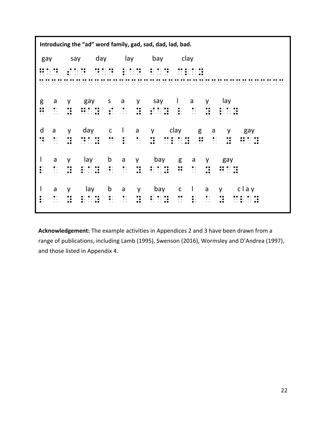**Introducing the "ad" word family, gad, sad, dad, lad, bad.** gay say day lay bay clay Gad sad dad lad bad clay CCCCCCCCCCCCCCCCCCCCCCCCCCCCCCCCCCCCCCCC g a y gay s a y say l a y lay Georgia de la segunda de la segunda de la segunda de la segunda de la segunda de la segunda de la segunda de<br>1990 - La segunda de la segunda de la segunda de la segunda de la segunda de la segunda de la segunda de la d a y day c l a y clay g a y gay d a graph of the second control of the second control of the second control of the second control of the second<br>Decrease the second control of the second control of the second control of the second control of the second co l a y lay b a y bay g a y gay L a y lay b a y bay g a y gay l a y lay b a y bay c l a y clay l a y lay bay can be a y lay can be a y bay can be a y clay can be a y clay can be a y clay can be a y clay ca<br>Decrease a y clay can be a y clay can be a y clay can be a y clay can be a y clay can be a y clay can be a y<br>De

**Acknowledgement:** The example activities in Appendices 2 and 3 have been drawn from a range of publications, including Lamb (1995), Swenson (2016), Wormsley and D'Andrea (1997), and those listed in Appendix 4.